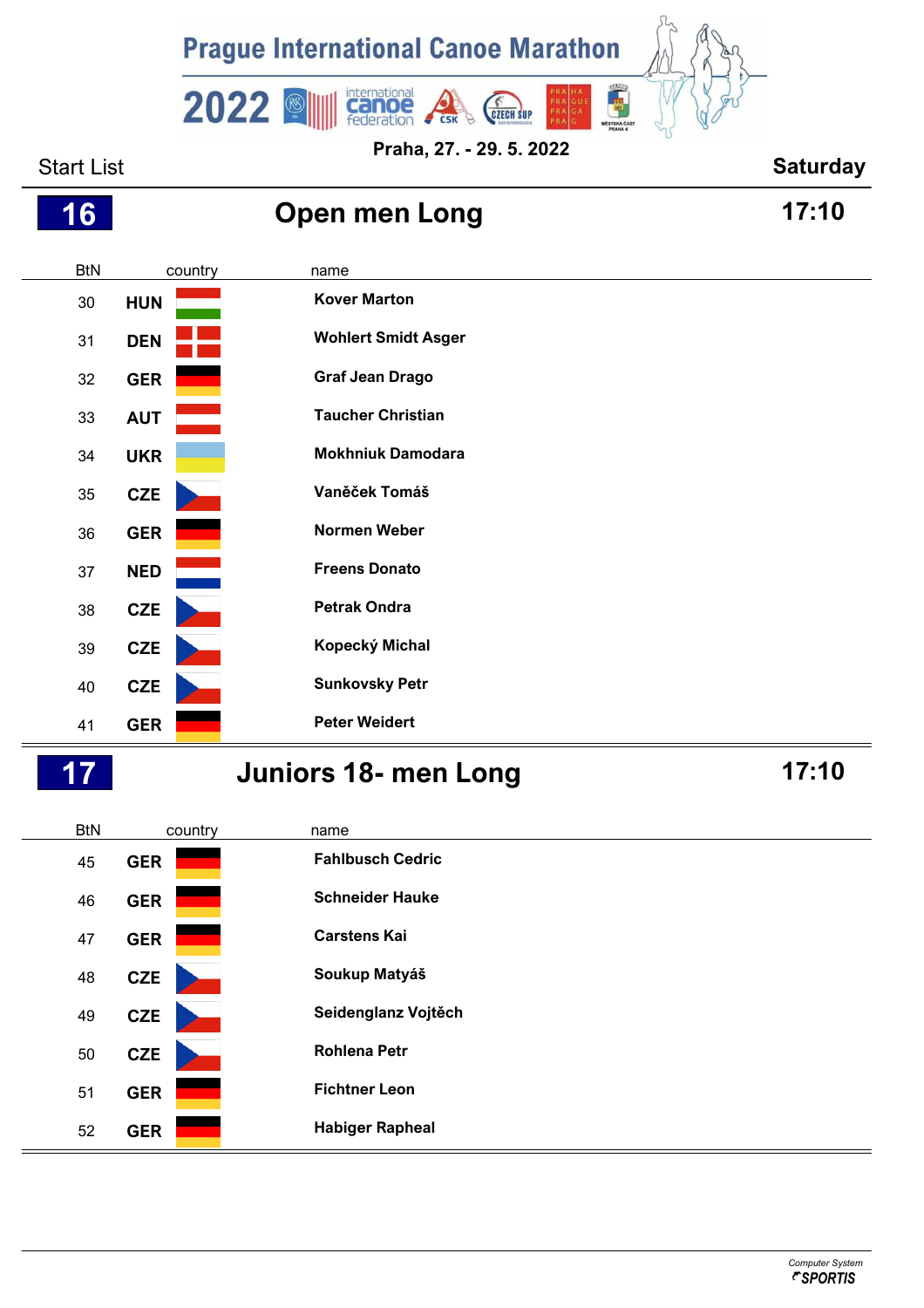

**Praha, 27. - 29. 5. 2022**

## Start List **Start List Start List Start List Saturday**





## **Juniors 18- men Long 17:10**

| <b>BtN</b> | country    | name                    |
|------------|------------|-------------------------|
| 45         | <b>GER</b> | <b>Fahlbusch Cedric</b> |
| 46         | <b>GER</b> | <b>Schneider Hauke</b>  |
| 47         | <b>GER</b> | <b>Carstens Kai</b>     |
| 48         | <b>CZE</b> | Soukup Matyáš           |
| 49         | <b>CZE</b> | Seidenglanz Vojtěch     |
| 50         | <b>CZE</b> | <b>Rohlena Petr</b>     |
| 51         | <b>GER</b> | <b>Fichtner Leon</b>    |
| 52         | <b>GER</b> | <b>Habiger Rapheal</b>  |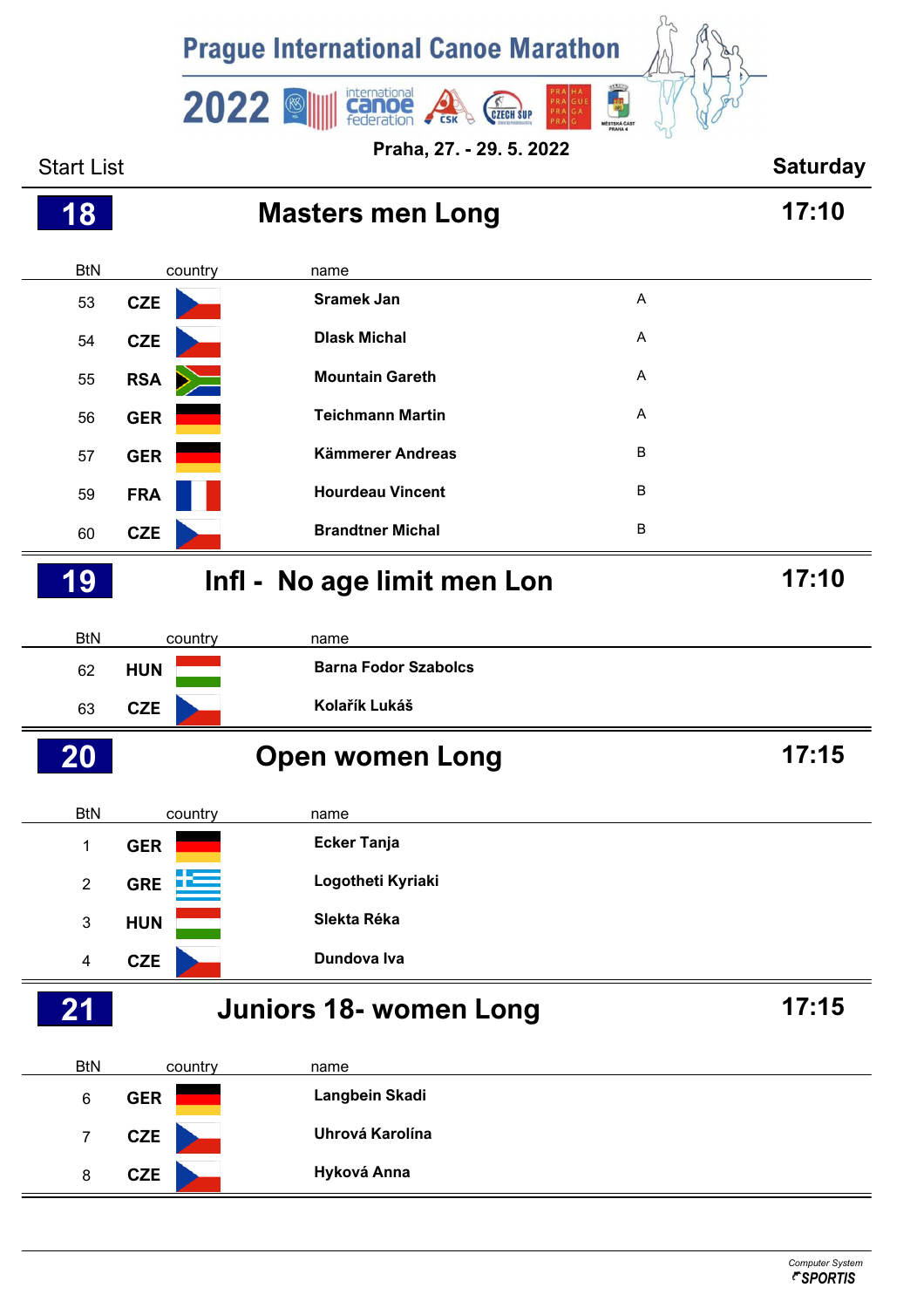

Start List **Saturday** BtN country name **Masters men Long 17:10 CZE Sramek Jan** <sup>A</sup> **CZE Dlask Michal** <sup>A</sup> **RSA Mountain Gareth** <sup>A</sup> **GER Teichmann Martin** <sup>A</sup> **GER Kämmerer Andreas** <sup>B</sup> **FRA Hourdeau Vincent** <sup>B</sup> **CZE Brandtner Michal** <sup>B</sup> BtN country name **Infl - No age limit men Lon 17:10 HUN Barna Fodor Szabolcs CZE Kolařík Lukáš** BtN country name **Open women Long 17:15 GER Ecker Tanja GRE Logotheti Kyriaki HUN Slekta Réka CZE Dundova Iva** BtN country name **Juniors 18- women Long 17:15 GER Langbein Skadi CZE Uhrová Karolína CZE Hyková Anna**